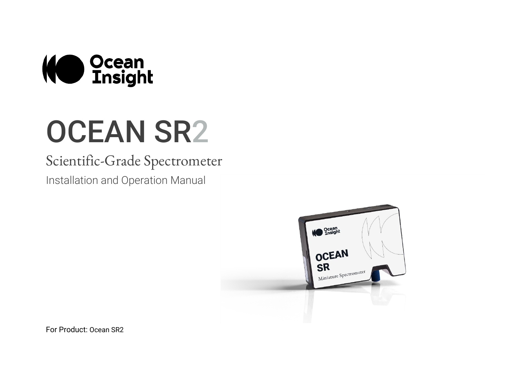

# OCEAN SR2

# Scientific-Grade Spectrometer

Installation and Operation Manual



For Product: Ocean SR2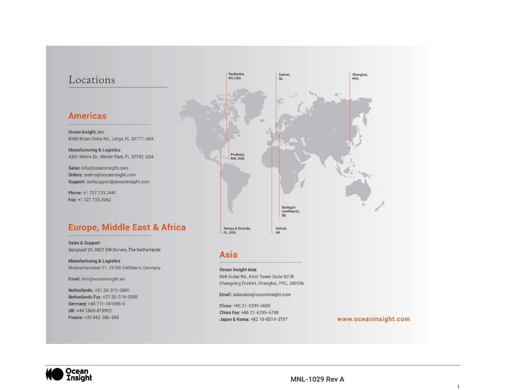#### Locations

#### **Americas**

Ocean Insight, Inc. 8060 Bryan Dairy Rd., Largo, FL 33777, USA

**Manufacturing & Logistics** 4301 Metric Dr., Winter Park, FL 32792, USA

Sales: info@oceaninsight.com Orders: orders@oceaninsight.com Support: techsupport@oceaninsight.com

Phone: +1 727.733.2447 Fax: +1 727.733.3962

#### **Europe, Middle East & Africa**

**Sales & Support** Geograaf 24, 6921 EW Duiven, The Netherlands

**Manufacturing & Logistics** Maybachstrasse 11, 73760 Ostfildern, Germany

Email: info@oceaninsight.eu

Netherlands: +31 26-319-0500 Netherlands Fax: +31 26-319-0505 Germany: +49 711-341696-0 UK: +44 1865-819922 France: +33 442-386-588



#### **Asia**

Ocean Insight Asia 666 Gubei Rd., Kirin Tower Suite 601B Changning District, Shanghai, PRC, 200336

Email: asiasales@oceaninsight.com

China: +86 21-6295-6600 China Fax: +86 21-6295-6708 Japan & Korea: +82 10-8514-3797

www.oceaninsight.com

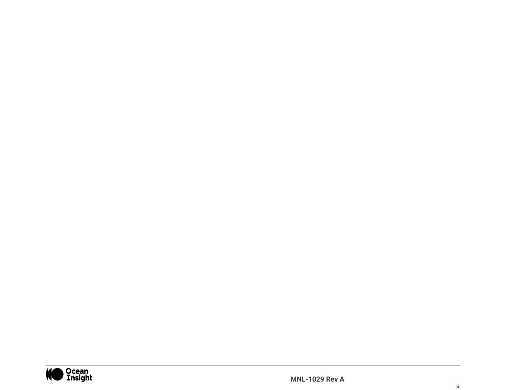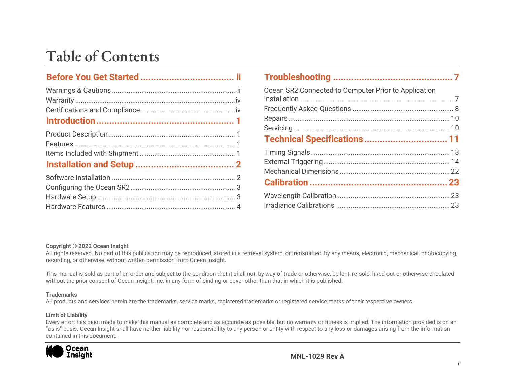# **Table of Contents**

### **Before You Get Started [....................................](#page-4-0) ii**

| Ocean SR2 Connected to Computer Prior to Application |  |
|------------------------------------------------------|--|
|                                                      |  |
|                                                      |  |
|                                                      |  |
|                                                      |  |
|                                                      |  |
|                                                      |  |
|                                                      |  |
|                                                      |  |
|                                                      |  |
|                                                      |  |
|                                                      |  |

**Troubleshooting [..............................................](#page-14-0) 7**

#### **Copyright © 2022 Ocean Insight**

All rights reserved. No part of this publication may be reproduced, stored in a retrieval system, or transmitted, by any means, electronic, mechanical, photocopying, recording, or otherwise, without written permission from Ocean Insight.

This manual is sold as part of an order and subject to the condition that it shall not, by way of trade or otherwise, be lent, re-sold, hired out or otherwise circulated without the prior consent of Ocean Insight, Inc. in any form of binding or cover other than that in which it is published.

#### **Trademarks**

All products and services herein are the trademarks, service marks, registered trademarks or registered service marks of their respective owners.

#### **Limit of Liability**

Every effort has been made to make this manual as complete and as accurate as possible, but no warranty or fitness is implied. The information provided is on an "as is" basis. Ocean Insight shall have neither liability nor responsibility to any person or entity with respect to any loss or damages arising from the information contained in this document.

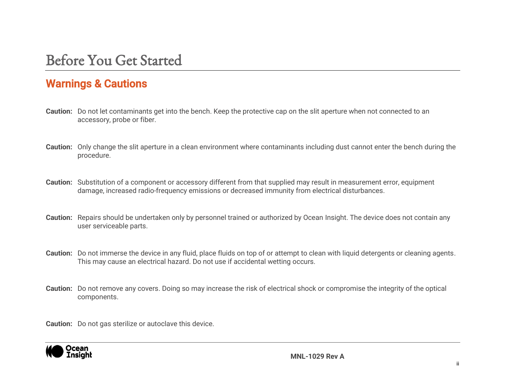## <span id="page-4-0"></span>Before You Get Started

### <span id="page-4-1"></span>Warnings & Cautions

- **Caution:** Do not let contaminants get into the bench. Keep the protective cap on the slit aperture when not connected to an accessory, probe or fiber.
- **Caution:** Only change the slit aperture in a clean environment where contaminants including dust cannot enter the bench during the procedure.
- **Caution:** Substitution of a component or accessory different from that supplied may result in measurement error, equipment damage, increased radio-frequency emissions or decreased immunity from electrical disturbances.
- **Caution:** Repairs should be undertaken only by personnel trained or authorized by Ocean Insight. The device does not contain any user serviceable parts.
- **Caution:** Do not immerse the device in any fluid, place fluids on top of or attempt to clean with liquid detergents or cleaning agents. This may cause an electrical hazard. Do not use if accidental wetting occurs.
- **Caution:** Do not remove any covers. Doing so may increase the risk of electrical shock or compromise the integrity of the optical components.

**Caution:** Do not gas sterilize or autoclave this device.

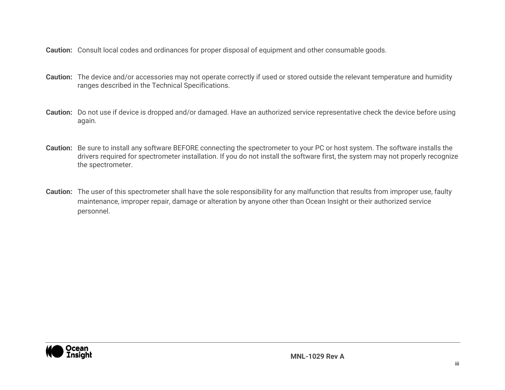**Caution:** Consult local codes and ordinances for proper disposal of equipment and other consumable goods.

- **Caution:** The device and/or accessories may not operate correctly if used or stored outside the relevant temperature and humidity ranges described in the Technical Specifications.
- **Caution:** Do not use if device is dropped and/or damaged. Have an authorized service representative check the device before using again.
- **Caution:** Be sure to install any software BEFORE connecting the spectrometer to your PC or host system. The software installs the drivers required for spectrometer installation. If you do not install the software first, the system may not properly recognize the spectrometer.
- **Caution:** The user of this spectrometer shall have the sole responsibility for any malfunction that results from improper use, faulty maintenance, improper repair, damage or alteration by anyone other than Ocean Insight or their authorized service personnel.

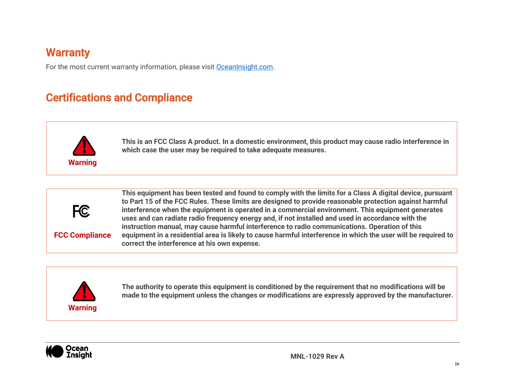### <span id="page-6-0"></span>**Warranty**

For the most current warranty information, please visit [OceanInsight.com.](http://www.oceaninsight.com/)

### <span id="page-6-1"></span>Certifications and Compliance



**This is an FCC Class A product. In a domestic environment, this product may cause radio interference in which case the user may be required to take adequate measures.**



#### **FCC Compliance**

**This equipment has been tested and found to comply with the limits for a Class A digital device, pursuant to Part 15 of the FCC Rules. These limits are designed to provide reasonable protection against harmful interference when the equipment is operated in a commercial environment. This equipment generates uses and can radiate radio frequency energy and, if not installed and used in accordance with the instruction manual, may cause harmful interference to radio communications. Operation of this equipment in a residential area is likely to cause harmful interference in which the user will be required to correct the interference at his own expense.**



**The authority to operate this equipment is conditioned by the requirement that no modifications will be made to the equipment unless the changes or modifications are expressly approved by the manufacturer.**

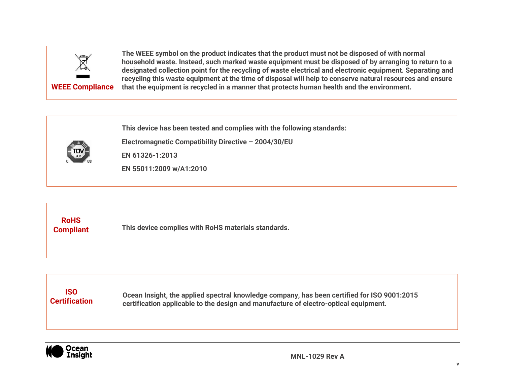

**The WEEE symbol on the product indicates that the product must not be disposed of with normal household waste. Instead, such marked waste equipment must be disposed of by arranging to return to a designated collection point for the recycling of waste electrical and electronic equipment. Separating and recycling this waste equipment at the time of disposal will help to conserve natural resources and ensure WEEE Compliance that the equipment is recycled in a manner that protects human health and the environment.**

**This device has been tested and complies with the following standards:**



**Electromagnetic Compatibility Directive – 2004/30/EU**

**EN 61326-1:2013**

**EN 55011:2009 w/A1:2010**

**RoHS Compliant This device complies with RoHS materials standards.**

#### **ISO Certification**

**Ocean Insight, the applied spectral knowledge company, has been certified for ISO 9001:2015 certification applicable to the design and manufacture of electro-optical equipment.**

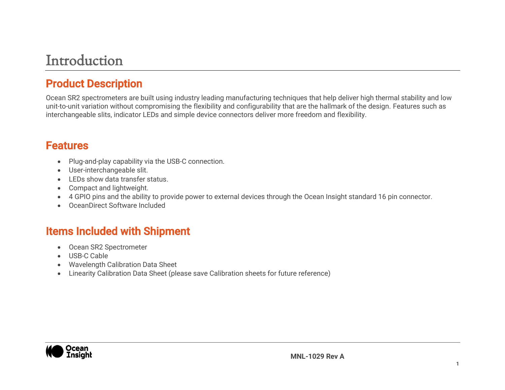# <span id="page-8-0"></span>Introduction

### <span id="page-8-1"></span>Product Description

Ocean SR2 spectrometers are built using industry leading manufacturing techniques that help deliver high thermal stability and low unit-to-unit variation without compromising the flexibility and configurability that are the hallmark of the design. Features such as interchangeable slits, indicator LEDs and simple device connectors deliver more freedom and flexibility.

### <span id="page-8-2"></span>Features

- Plug-and-play capability via the USB-C connection.
- User-interchangeable slit.
- LEDs show data transfer status.
- Compact and lightweight.
- 4 GPIO pins and the ability to provide power to external devices through the Ocean Insight standard 16 pin connector.
- OceanDirect Software Included

### <span id="page-8-3"></span>Items Included with Shipment

- Ocean SR2 Spectrometer
- USB-C Cable
- Wavelength Calibration Data Sheet
- Linearity Calibration Data Sheet (please save Calibration sheets for future reference)

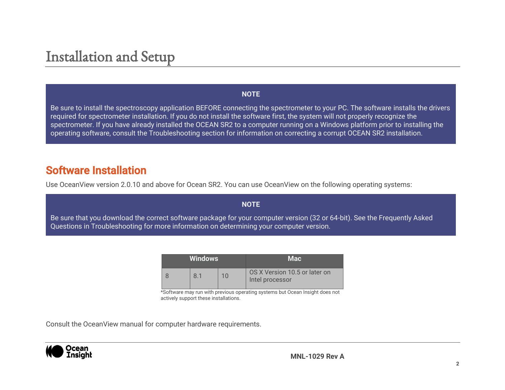#### **NOTE**

<span id="page-9-0"></span>Be sure to install the spectroscopy application BEFORE connecting the spectrometer to your PC. The software installs the drivers required for spectrometer installation. If you do not install the software first, the system will not properly recognize the spectrometer. If you have already installed the OCEAN SR2 to a computer running on a Windows platform prior to installing the operating software, consult the Troubleshooting section for information on correcting a corrupt OCEAN SR2 installation.

### <span id="page-9-1"></span>Software Installation

Use OceanView version 2.0.10 and above for Ocean SR2. You can use OceanView on the following operating systems:

Be sure that you download the correct software package for your computer version (32 or 64-bit). See the Frequently Asked Questions in Troubleshooting for more information on determining your computer version.

**NOTE**

| <b>Windows</b> |     |    | Mac                                              |  |  |
|----------------|-----|----|--------------------------------------------------|--|--|
|                | 8.1 | 10 | OS X Version 10.5 or later on<br>Intel processor |  |  |

\*Software may run with previous operating systems but Ocean Insight does not actively support these installations.

Consult the OceanView manual for computer hardware requirements.

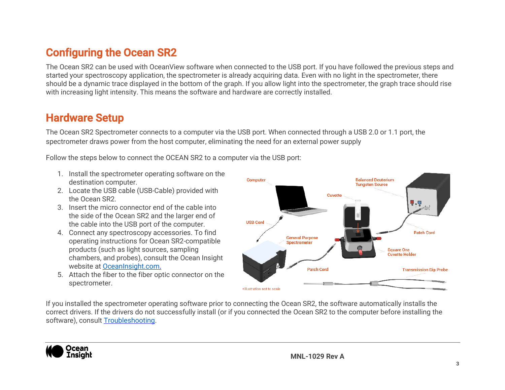### <span id="page-10-0"></span>Configuring the Ocean SR2

The Ocean SR2 can be used with OceanView software when connected to the USB port. If you have followed the previous steps and started your spectroscopy application, the spectrometer is already acquiring data. Even with no light in the spectrometer, there should be a dynamic trace displayed in the bottom of the graph. If you allow light into the spectrometer, the graph trace should rise with increasing light intensity. This means the software and hardware are correctly installed.

### <span id="page-10-1"></span>Hardware Setup

The Ocean SR2 Spectrometer connects to a computer via the USB port. When connected through a USB 2.0 or 1.1 port, the spectrometer draws power from the host computer, eliminating the need for an external power supply

Follow the steps below to connect the OCEAN SR2 to a computer via the USB port:

- 1. Install the spectrometer operating software on the destination computer.
- 2. Locate the USB cable (USB-Cable) provided with the Ocean SR2.
- 3. Insert the micro connector end of the cable into the side of the Ocean SR2 and the larger end of the cable into the USB port of the computer.
- 4. Connect any spectroscopy accessories. To find operating instructions for Ocean SR2-compatible products (such as light sources, sampling chambers, and probes), consult the Ocean Insight website at [OceanInsight.com.](http://www.oceanoptics.com/)
- 5. Attach the fiber to the fiber optic connector on the spectrometer.



If you installed the spectrometer operating software prior to connecting the Ocean SR2, the software automatically installs the correct drivers. If the drivers do not successfully install (or if you connected the Ocean SR2 to the computer before installing the software), consult [Troubleshooting.](#page-13-0)

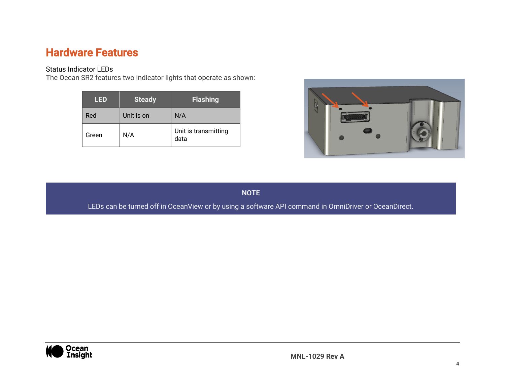### <span id="page-11-0"></span>Hardware Features

#### Status Indicator LEDs

The Ocean SR2 features two indicator lights that operate as shown:

| <b>LED</b> | <b>Steady</b> | <b>Flashing</b>              |
|------------|---------------|------------------------------|
| Red        | Unit is on    | N/A                          |
| Green      | N/A           | Unit is transmitting<br>data |



#### **NOTE**

LEDs can be turned off in OceanView or by using a software API command in OmniDriver or OceanDirect.

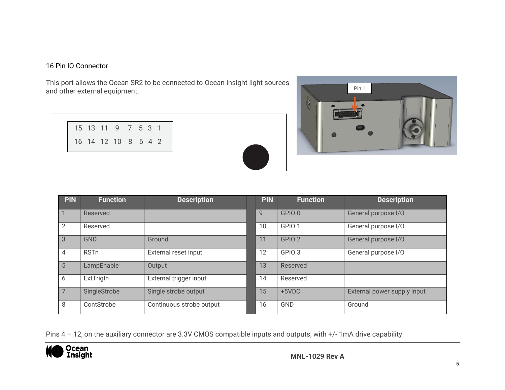#### 16 Pin IO Connector

This port allows the Ocean SR2 to be connected to Ocean Insight light sources and other external equipment.

15 13 11 9 7 5 3 1 16 14 12 10 8 6 4 2



| <b>PIN</b>   | <b>Function</b> | <b>Description</b>       | <b>PIN</b> | <b>Function</b> | <b>Description</b>          |
|--------------|-----------------|--------------------------|------------|-----------------|-----------------------------|
| $\mathbf{1}$ | Reserved        |                          | 9          | GPIO.0          | General purpose I/O         |
| 2            | Reserved        |                          | 10         | GPIO.1          | General purpose I/O         |
| 3            | <b>GND</b>      | Ground                   | 11         | GPIO.2          | General purpose I/O         |
| 4            | <b>RSTn</b>     | External reset input     | 12         | GPIO.3          | General purpose I/O         |
| 5            | LampEnable      | Output                   | 13         | Reserved        |                             |
| 6            | ExtTrigIn       | External trigger input   | 14         | Reserved        |                             |
|              | SingleStrobe    | Single strobe output     | 15         | +5VDC           | External power supply input |
| 8            | ContStrobe      | Continuous strobe output | 16         | <b>GND</b>      | Ground                      |

Pins 4 – 12, on the auxiliary connector are 3.3V CMOS compatible inputs and outputs, with +/- 1mA drive capability

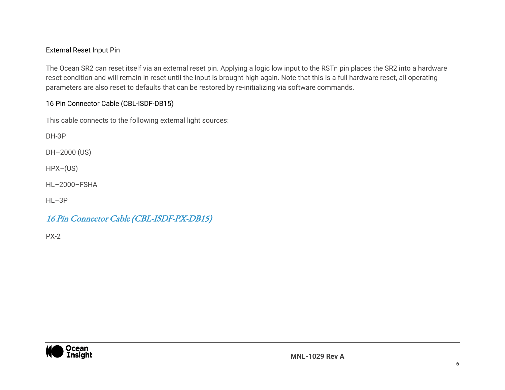#### External Reset Input Pin

The Ocean SR2 can reset itself via an external reset pin. Applying a logic low input to the RSTn pin places the SR2 into a hardware reset condition and will remain in reset until the input is brought high again. Note that this is a full hardware reset, all operating parameters are also reset to defaults that can be restored by re-initializing via software commands.

#### 16 Pin Connector Cable (CBL-ISDF-DB15)

<span id="page-13-0"></span>This cable connects to the following external light sources:

DH-3P

DH–2000 (US)

HPX–(US)

HL–2000–FSHA

HL–3P

16 Pin Connector Cable (CBL-ISDF-PX-DB15)

PX-2

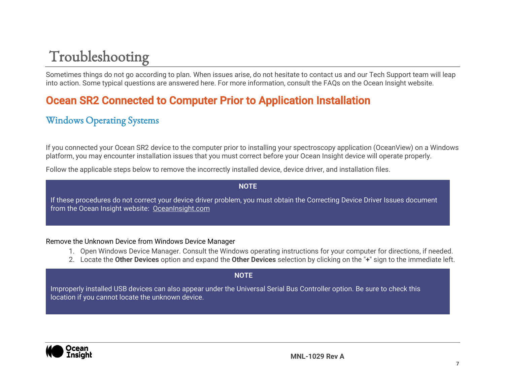# <span id="page-14-0"></span>Troubleshooting

Sometimes things do not go according to plan. When issues arise, do not hesitate to contact us and our Tech Support team will leap into action. Some typical questions are answered here. For more information, consult the FAQs on the Ocean Insight website.

### <span id="page-14-1"></span>Ocean SR2 Connected to Computer Prior to Application Installation

### Windows Operating Systems

If you connected your Ocean SR2 device to the computer prior to installing your spectroscopy application (OceanView) on a Windows platform, you may encounter installation issues that you must correct before your Ocean Insight device will operate properly.

Follow the applicable steps below to remove the incorrectly installed device, device driver, and installation files.

#### **NOTE**

If these procedures do not correct your device driver problem, you must obtain the Correcting Device Driver Issues document from the Ocean Insight website: [OceanInsight.com](https://oceaninsight.com/)

#### Remove the Unknown Device from Windows Device Manager

- 1. Open Windows Device Manager. Consult the Windows operating instructions for your computer for directions, if needed.
- 2. Locate the **Other Devices** option and expand the **Other Devices** selection by clicking on the "**+**" sign to the immediate left.

#### **NOTE**

Improperly installed USB devices can also appear under the Universal Serial Bus Controller option. Be sure to check this location if you cannot locate the unknown device.

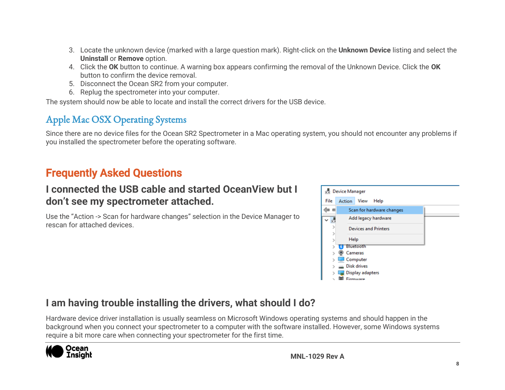- 3. Locate the unknown device (marked with a large question mark). Right-click on the **Unknown Device** listing and select the **Uninstall** or **Remove** option.
- 4. Click the **OK** button to continue. A warning box appears confirming the removal of the Unknown Device. Click the **OK** button to confirm the device removal.
- 5. Disconnect the Ocean SR2 from your computer.
- 6. Replug the spectrometer into your computer.

The system should now be able to locate and install the correct drivers for the USB device.

### Apple Mac OSX Operating Systems

Since there are no device files for the Ocean SR2 Spectrometer in a Mac operating system, you should not encounter any problems if you installed the spectrometer before the operating software.

### <span id="page-15-0"></span>Frequently Asked Questions

### **I connected the USB cable and started OceanView but I don't see my spectrometer attached.**

Use the "Action -> Scan for hardware changes" selection in the Device Manager to rescan for attached devices.



### **I am having trouble installing the drivers, what should I do?**

Hardware device driver installation is usually seamless on Microsoft Windows operating systems and should happen in the background when you connect your spectrometer to a computer with the software installed. However, some Windows systems require a bit more care when connecting your spectrometer for the first time.

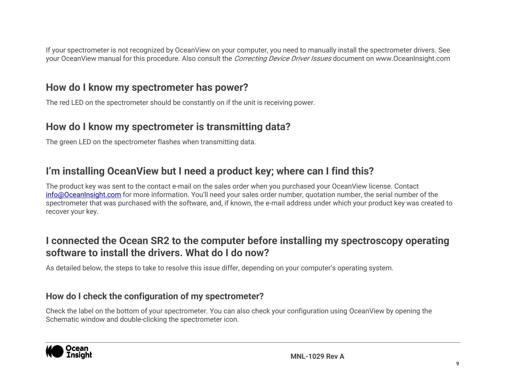If your spectrometer is not recognized by OceanView on your computer, you need to manually install the spectrometer drivers. See your OceanView manual for this procedure. Also consult the *Correcting Device Driver Issues* document on www.OceanInsight.com

### **How do I know my spectrometer has power?**

The red LED on the spectrometer should be constantly on if the unit is receiving power.

### **How do I know my spectrometer is transmitting data?**

The green LED on the spectrometer flashes when transmitting data.

### **I'm installing OceanView but I need a product key; where can I find this?**

The product key was sent to the contact e-mail on the sales order when you purchased your OceanView license. Contact [info@OceanInsight.com](mailto:info@oceanoptics.com) for more information. You'll need your sales order number, quotation number, the serial number of the spectrometer that was purchased with the software, and, if known, the e-mail address under which your product key was created to recover your key.

### **I connected the Ocean SR2 to the computer before installing my spectroscopy operating software to install the drivers. What do I do now?**

As detailed below, the steps to take to resolve this issue differ, depending on your computer's operating system.

#### **How do I check the configuration of my spectrometer?**

Check the label on the bottom of your spectrometer. You can also check your configuration using OceanView by opening the Schematic window and double-clicking the spectrometer icon.

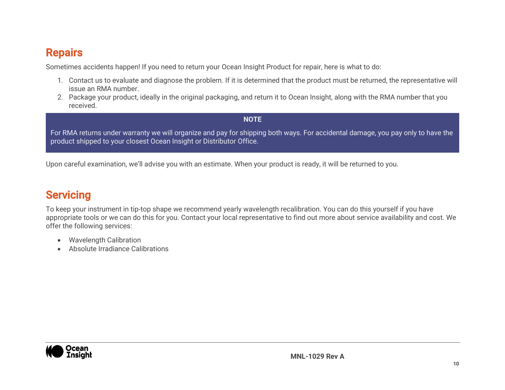### <span id="page-17-0"></span>Repairs

Sometimes accidents happen! If you need to return your Ocean Insight Product for repair, here is what to do:

- 1. Contact us to evaluate and diagnose the problem. If it is determined that the product must be returned, the representative will issue an RMA number.
- 2. Package your product, ideally in the original packaging, and return it to Ocean Insight, along with the RMA number that you received.

#### **NOTE**

For RMA returns under warranty we will organize and pay for shipping both ways. For accidental damage, you pay only to have the product shipped to your closest Ocean Insight or Distributor Office.

Upon careful examination, we'll advise you with an estimate. When your product is ready, it will be returned to you.

### <span id="page-17-1"></span>**Servicing**

To keep your instrument in tip-top shape we recommend yearly wavelength recalibration. You can do this yourself if you have appropriate tools or we can do this for you. Contact your local representative to find out more about service availability and cost. We offer the following services:

- Wavelength Calibration
- Absolute Irradiance Calibrations

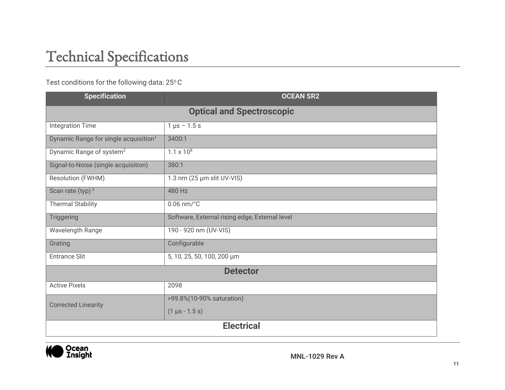# <span id="page-18-0"></span>Technical Specifications

#### Test conditions for the following data: 25°C

| <b>Specification</b>                              | <b>OCEAN SR2</b>                               |  |  |  |  |
|---------------------------------------------------|------------------------------------------------|--|--|--|--|
| <b>Optical and Spectroscopic</b>                  |                                                |  |  |  |  |
| <b>Integration Time</b>                           | $1 \,\mu s - 1.5 \,s$                          |  |  |  |  |
| Dynamic Range for single acquisition <sup>1</sup> | 3400:1                                         |  |  |  |  |
| Dynamic Range of system <sup>2</sup>              | $1.1 \times 10^{8}$                            |  |  |  |  |
| Signal-to-Noise (single acquisition)              | 380:1                                          |  |  |  |  |
| Resolution (FWHM)                                 | 1.3 nm (25 µm slit UV-VIS)                     |  |  |  |  |
| Scan rate $(typ)^3$                               | 480 Hz                                         |  |  |  |  |
| <b>Thermal Stability</b>                          | $0.06$ nm/ $°C$                                |  |  |  |  |
| <b>Triggering</b>                                 | Software, External rising edge, External level |  |  |  |  |
| Wavelength Range                                  | 190 - 920 nm (UV-VIS)                          |  |  |  |  |
| Grating                                           | Configurable                                   |  |  |  |  |
| <b>Entrance Slit</b>                              | 5, 10, 25, 50, 100, 200 µm                     |  |  |  |  |
| <b>Detector</b>                                   |                                                |  |  |  |  |
| <b>Active Pixels</b>                              | 2098                                           |  |  |  |  |
| <b>Corrected Linearity</b>                        | >99.8%(10-90% saturation)                      |  |  |  |  |
|                                                   | $(1 \mu s - 1.5 s)$                            |  |  |  |  |
| <b>Electrical</b>                                 |                                                |  |  |  |  |

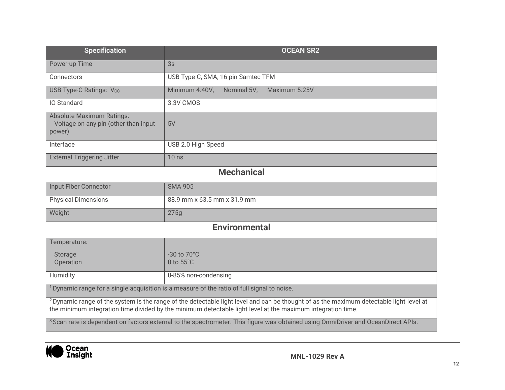| <b>Specification</b>                                                                                                                                                                                                                                              | <b>OCEAN SR2</b>                               |  |  |  |  |
|-------------------------------------------------------------------------------------------------------------------------------------------------------------------------------------------------------------------------------------------------------------------|------------------------------------------------|--|--|--|--|
| Power-up Time                                                                                                                                                                                                                                                     | 3s                                             |  |  |  |  |
| Connectors                                                                                                                                                                                                                                                        | USB Type-C, SMA, 16 pin Samtec TFM             |  |  |  |  |
| USB Type-C Ratings: V <sub>cc</sub>                                                                                                                                                                                                                               | Minimum 4.40V,<br>Nominal 5V,<br>Maximum 5.25V |  |  |  |  |
| <b>IO Standard</b>                                                                                                                                                                                                                                                | 3.3V CMOS                                      |  |  |  |  |
| <b>Absolute Maximum Ratings:</b><br>Voltage on any pin (other than input<br>power)                                                                                                                                                                                | 5V                                             |  |  |  |  |
| Interface                                                                                                                                                                                                                                                         | USB 2.0 High Speed                             |  |  |  |  |
| <b>External Triggering Jitter</b>                                                                                                                                                                                                                                 | 10 <sub>ns</sub>                               |  |  |  |  |
|                                                                                                                                                                                                                                                                   | <b>Mechanical</b>                              |  |  |  |  |
| <b>Input Fiber Connector</b>                                                                                                                                                                                                                                      | <b>SMA 905</b>                                 |  |  |  |  |
| <b>Physical Dimensions</b>                                                                                                                                                                                                                                        | 88.9 mm x 63.5 mm x 31.9 mm                    |  |  |  |  |
| Weight                                                                                                                                                                                                                                                            | 275g                                           |  |  |  |  |
|                                                                                                                                                                                                                                                                   | <b>Environmental</b>                           |  |  |  |  |
| Temperature:                                                                                                                                                                                                                                                      |                                                |  |  |  |  |
| Storage<br>Operation                                                                                                                                                                                                                                              | $-30$ to $70^{\circ}$ C<br>0 to 55°C           |  |  |  |  |
|                                                                                                                                                                                                                                                                   |                                                |  |  |  |  |
| Humidity                                                                                                                                                                                                                                                          | 0-85% non-condensing                           |  |  |  |  |
| <sup>1</sup> Dynamic range for a single acquisition is a measure of the ratio of full signal to noise.                                                                                                                                                            |                                                |  |  |  |  |
| <sup>2</sup> Dynamic range of the system is the range of the detectable light level and can be thought of as the maximum detectable light level at<br>the minimum integration time divided by the minimum detectable light level at the maximum integration time. |                                                |  |  |  |  |
| <sup>3</sup> Scan rate is dependent on factors external to the spectrometer. This figure was obtained using OmniDriver and OceanDirect APIs.                                                                                                                      |                                                |  |  |  |  |

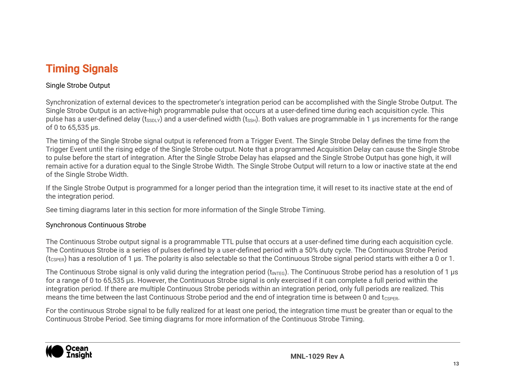### <span id="page-20-0"></span>Timing Signals

#### Single Strobe Output

Synchronization of external devices to the spectrometer's integration period can be accomplished with the Single Strobe Output. The Single Strobe Output is an active-high programmable pulse that occurs at a user-defined time during each acquisition cycle. This pulse has a user-defined delay ( $t_{SSDLY}$ ) and a user-defined width ( $t_{SSH}$ ). Both values are programmable in 1 µs increments for the range of 0 to 65,535 µs.

The timing of the Single Strobe signal output is referenced from a Trigger Event. The Single Strobe Delay defines the time from the Trigger Event until the rising edge of the Single Strobe output. Note that a programmed Acquisition Delay can cause the Single Strobe to pulse before the start of integration. After the Single Strobe Delay has elapsed and the Single Strobe Output has gone high, it will remain active for a duration equal to the Single Strobe Width. The Single Strobe Output will return to a low or inactive state at the end of the Single Strobe Width.

If the Single Strobe Output is programmed for a longer period than the integration time, it will reset to its inactive state at the end of the integration period.

See timing diagrams later in this section for more information of the Single Strobe Timing.

#### Synchronous Continuous Strobe

The Continuous Strobe output signal is a programmable TTL pulse that occurs at a user-defined time during each acquisition cycle. The Continuous Strobe is a series of pulses defined by a user-defined period with a 50% duty cycle. The Continuous Strobe Period (t<sub>CSPER</sub>) has a resolution of 1 µs. The polarity is also selectable so that the Continuous Strobe signal period starts with either a 0 or 1.

The Continuous Strobe signal is only valid during the integration period ( $t_{\text{INTER}}$ ). The Continuous Strobe period has a resolution of 1 µs for a range of 0 to 65,535 µs. However, the Continuous Strobe signal is only exercised if it can complete a full period within the integration period. If there are multiple Continuous Strobe periods within an integration period, only full periods are realized. This means the time between the last Continuous Strobe period and the end of integration time is between 0 and  $t_{CSPFR}$ .

For the continuous Strobe signal to be fully realized for at least one period, the integration time must be greater than or equal to the Continuous Strobe Period. See timing diagrams for more information of the Continuous Strobe Timing.

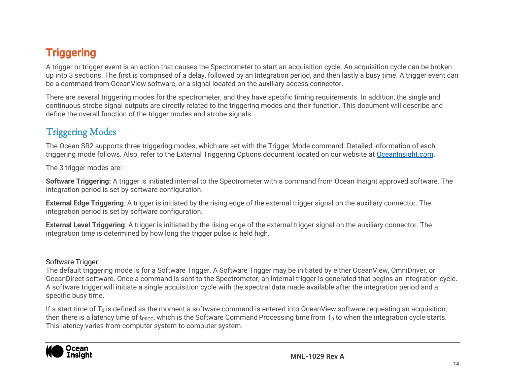### <span id="page-21-0"></span>**Triggering**

A trigger or trigger event is an action that causes the Spectrometer to start an acquisition cycle. An acquisition cycle can be broken up into 3 sections. The first is comprised of a delay, followed by an Integration period, and then lastly a busy time. A trigger event can be a command from OceanView software, or a signal located on the auxiliary access connector.

There are several triggering modes for the spectrometer, and they have specific timing requirements. In addition, the single and continuous strobe signal outputs are directly related to the triggering modes and their function. This document will describe and define the overall function of the trigger modes and strobe signals.

### Triggering Modes

The Ocean SR2 supports three triggering modes, which are set with the Trigger Mode command. Detailed information of each triggering mode follows. Also, refer to the External Triggering Options document located on our website at [OceanInsight.com.](http://www.oceaninsight.com/)

The 3 trigger modes are:

**Software Triggering:** A trigger is initiated internal to the Spectrometer with a command from Ocean Insight approved software. The integration period is set by software configuration.

**External Edge Triggering**: A trigger is initiated by the rising edge of the external trigger signal on the auxiliary connector. The integration period is set by software configuration.

**External Level Triggering**: A trigger is initiated by the rising edge of the external trigger signal on the auxiliary connector. The integration time is determined by how long the trigger pulse is held high.

#### Software Trigger

The default triggering mode is for a Software Trigger. A Software Trigger may be initiated by either OceanView, OmniDriver, or OceanDirect software. Once a command is sent to the Spectrometer, an internal trigger is generated that begins an integration cycle. A software trigger will initiate a single acquisition cycle with the spectral data made available after the integration period and a specific busy time.

If a start time of  $T_0$  is defined as the moment a software command is entered into OceanView software requesting an acquisition, then there is a latency time of t<sub>PROC</sub>, which is the Software Command Processing time from  $T_0$  to when the integration cycle starts. This latency varies from computer system to computer system.

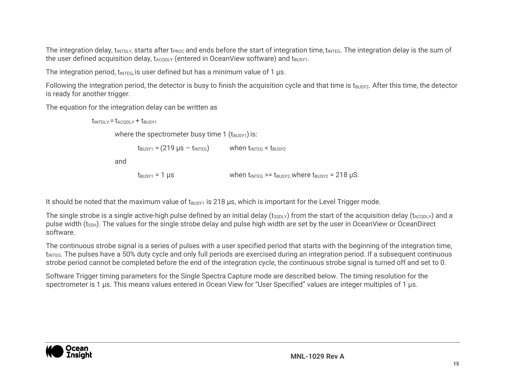The integration delay,  $t_{INTLY}$  starts after t<sub>PROC</sub> and ends before the start of integration time,  $t_{INTEG}$ . The integration delay is the sum of the user defined acquisition delay,  $t_{ACODLY}$  (entered in OceanView software) and  $t_{BUSY1}$ .

The integration period,  $t_{\text{INTEG}}$ , is user defined but has a minimum value of 1 µs.

Following the integration period, the detector is busy to finish the acquisition cycle and that time is  $t_{\text{BUSY2}}$ . After this time, the detector is ready for another trigger.

The equation for the integration delay can be written as

```
t_{INTPLY} = t_{ACODLY} + t_{BUSY1}where the spectrometer busy time 1 (t_{\text{BUSY1}}) is:
             t_{\text{BUSY1}} = (219 \text{ }\mu\text{s} - t_{\text{INTEG}}) when t_{\text{INTEG}} < t_{\text{BUSYZ}}and
             t_{\text{BUSY1}} = 1 \text{ }\mu\text{s} when t_{\text{INTEG}} >= t_{\text{BUSY2}}, where t_{\text{BUSY2}} = 218 \text{ }\mu\text{S}.
```
It should be noted that the maximum value of  $t_{\text{BUSY1}}$  is 218 µs, which is important for the Level Trigger mode.

The single strobe is a single active-high pulse defined by an initial delay (t<sub>SSDLY</sub>) from the start of the acquisition delay (t<sub>ACODLY</sub>) and a pulse width (t<sub>SSH</sub>). The values for the single strobe delay and pulse high width are set by the user in OceanView or OceanDirect software.

The continuous strobe signal is a series of pulses with a user specified period that starts with the beginning of the integration time, t<sub>INTEG</sub>. The pulses have a 50% duty cycle and only full periods are exercised during an integration period. If a subsequent continuous strobe period cannot be completed before the end of the integration cycle, the continuous strobe signal is turned off and set to 0.

Software Trigger timing parameters for the Single Spectra Capture mode are described below. The timing resolution for the spectrometer is 1 µs. This means values entered in Ocean View for "User Specified" values are integer multiples of 1 µs.

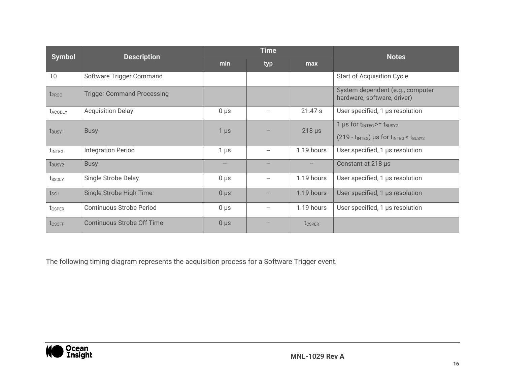| <b>Symbol</b>       | <b>Description</b>                | <b>Time</b> |                          |                    | <b>Notes</b>                                                                                                   |
|---------------------|-----------------------------------|-------------|--------------------------|--------------------|----------------------------------------------------------------------------------------------------------------|
|                     |                                   | min         | typ                      | max                |                                                                                                                |
| T <sub>0</sub>      | Software Trigger Command          |             |                          |                    | <b>Start of Acquisition Cycle</b>                                                                              |
| t <sub>PROC</sub>   | <b>Trigger Command Processing</b> |             |                          |                    | System dependent (e.g., computer<br>hardware, software, driver)                                                |
| t <sub>ACQDLY</sub> | <b>Acquisition Delay</b>          | $0 \mu s$   | --                       | 21.47 s            | User specified, 1 µs resolution                                                                                |
| t <sub>BUSY1</sub>  | <b>Busy</b>                       | $1 \mu s$   |                          | $218 \mu s$        | 1 $\mu$ s for $t_{\text{INTEG}}$ >= $t_{\text{BUSY2}}$<br>$(219 - t_{INTEG})$ µs for $t_{INTEG}$ < $t_{BUSY2}$ |
| tinteg              | <b>Integration Period</b>         | $1 \mu s$   | $\overline{\phantom{a}}$ | 1.19 hours         | User specified, 1 µs resolution                                                                                |
| t <sub>BUSY2</sub>  | <b>Busy</b>                       | $-\!$       | $\qquad \qquad -$        | $\qquad \qquad -$  | Constant at 218 µs                                                                                             |
| tssply              | Single Strobe Delay               | $0 \mu s$   |                          | 1.19 hours         | User specified, 1 µs resolution                                                                                |
| tssh                | Single Strobe High Time           | $0 \mu s$   | $\qquad \qquad -$        | 1.19 hours         | User specified, 1 µs resolution                                                                                |
| tcsper              | <b>Continuous Strobe Period</b>   | $0 \mu s$   | $- -$                    | 1.19 hours         | User specified, 1 µs resolution                                                                                |
| t <sub>CSOFF</sub>  | <b>Continuous Strobe Off Time</b> | $0 \mu s$   |                          | t <sub>CSPER</sub> |                                                                                                                |

The following timing diagram represents the acquisition process for a Software Trigger event.

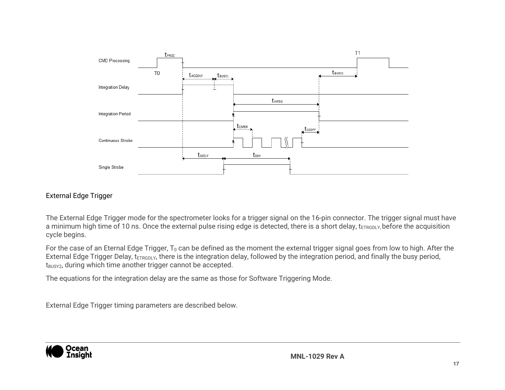

#### External Edge Trigger

The External Edge Trigger mode for the spectrometer looks for a trigger signal on the 16-pin connector. The trigger signal must have a minimum high time of 10 ns. Once the external pulse rising edge is detected, there is a short delay, t<sub>ETRGDLY</sub> before the acquisition cycle begins.

For the case of an Eternal Edge Trigger,  $T_0$  can be defined as the moment the external trigger signal goes from low to high. After the External Edge Trigger Delay, tetregly, there is the integration delay, followed by the integration period, and finally the busy period, t<sub>BUSY2</sub>, during which time another trigger cannot be accepted.

The equations for the integration delay are the same as those for Software Triggering Mode.

External Edge Trigger timing parameters are described below.

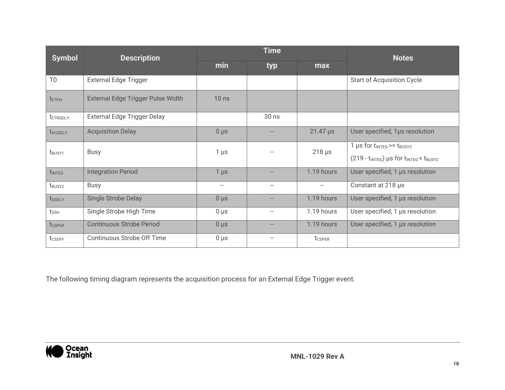| <b>Symbol</b>       | <b>Description</b>                |                  | <b>Time</b>                        | <b>Notes</b>             |                                                                                                           |
|---------------------|-----------------------------------|------------------|------------------------------------|--------------------------|-----------------------------------------------------------------------------------------------------------|
|                     |                                   | min              | typ                                | max                      |                                                                                                           |
| T <sub>0</sub>      | <b>External Edge Trigger</b>      |                  |                                    |                          | <b>Start of Acquisition Cycle</b>                                                                         |
| t <sub>ETPH</sub>   | External Edge Trigger Pulse Width | 10 <sub>ns</sub> |                                    |                          |                                                                                                           |
| tetrgdly            | External Edge Trigger Delay       |                  | $30$ ns                            |                          |                                                                                                           |
| t <sub>ACQDLY</sub> | <b>Acquisition Delay</b>          | $0 \mu s$        |                                    | $21.47 \,\mu s$          | User specified, 1µs resolution                                                                            |
| t <sub>BUSY1</sub>  | <b>Busy</b>                       | $1 \mu s$        |                                    | $218$ µs                 | 1 µs for $t_{\text{INTEG}}$ >= $t_{\text{BUSY2}}$<br>$(219 - t_{INTEG})$ µs for $t_{INTEG}$ < $t_{BUSY2}$ |
| tinteg              | <b>Integration Period</b>         | $1 \mu s$        | --                                 | 1.19 hours               | User specified, 1 µs resolution                                                                           |
| t <sub>BUSY2</sub>  | Busy                              | $\overline{a}$   | $\overline{\phantom{a}}$           | $\overline{\phantom{a}}$ | Constant at 218 µs                                                                                        |
| tsspLy              | <b>Single Strobe Delay</b>        | $0 \mu s$        | $-\!$                              | 1.19 hours               | User specified, 1 µs resolution                                                                           |
| $t_{\text{SSH}}$    | Single Strobe High Time           | $0 \mu s$        | $\hspace{0.05cm} -\hspace{0.05cm}$ | 1.19 hours               | User specified, 1 µs resolution                                                                           |
| t <sub>CSPER</sub>  | <b>Continuous Strobe Period</b>   | 0 <sub>µ</sub> s | $-\!$                              | 1.19 hours               | User specified, 1 µs resolution                                                                           |
| t <sub>CSOFF</sub>  | <b>Continuous Strobe Off Time</b> | $0 \mu s$        |                                    | t <sub>CSPER</sub>       |                                                                                                           |

The following timing diagram represents the acquisition process for an External Edge Trigger event.

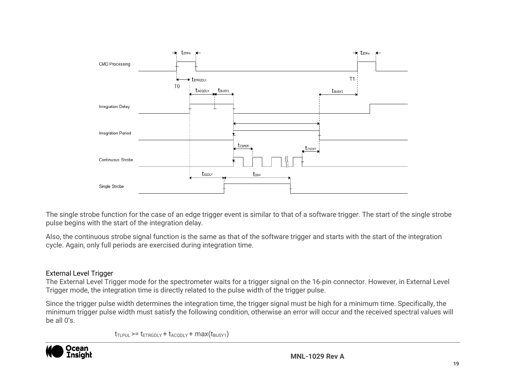

The single strobe function for the case of an edge trigger event is similar to that of a software trigger. The start of the single strobe pulse begins with the start of the integration delay.

Also, the continuous strobe signal function is the same as that of the software trigger and starts with the start of the integration cycle. Again, only full periods are exercised during integration time.

#### External Level Trigger

The External Level Trigger mode for the spectrometer waits for a trigger signal on the 16-pin connector. However, in External Level Trigger mode, the integration time is directly related to the pulse width of the trigger pulse.

Since the trigger pulse width determines the integration time, the trigger signal must be high for a minimum time. Specifically, the minimum trigger pulse width must satisfy the following condition, otherwise an error will occur and the received spectral values will be all 0's.

 $t_{TLPUL}$  >=  $t_{ETRGDLY}$  +  $t_{ACODLY}$  +  $max(t_{BUSY1})$ 

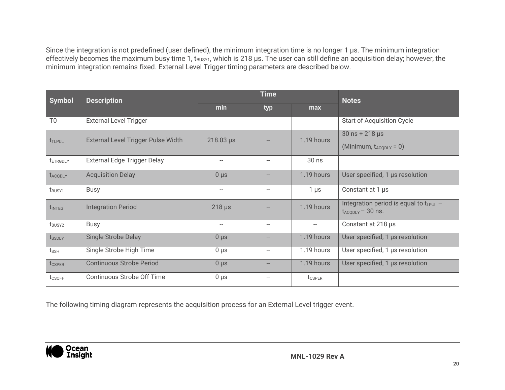Since the integration is not predefined (user defined), the minimum integration time is no longer 1 µs. The minimum integration effectively becomes the maximum busy time 1, t<sub>BUSY1</sub>, which is 218 µs. The user can still define an acquisition delay; however, the minimum integration remains fixed. External Level Trigger timing parameters are described below.

| <b>Symbol</b>        | <b>Description</b>                 | <b>Time</b>      |                          |                    | <b>Notes</b>                                                         |
|----------------------|------------------------------------|------------------|--------------------------|--------------------|----------------------------------------------------------------------|
|                      |                                    | min              | typ                      | max                |                                                                      |
| T <sub>0</sub>       | <b>External Level Trigger</b>      |                  |                          |                    | <b>Start of Acquisition Cycle</b>                                    |
| t <sub>TLPUL</sub>   | External Level Trigger Pulse Width | $218.03 \,\mu s$ |                          | 1.19 hours         | $30$ ns + 218 µs                                                     |
|                      |                                    |                  |                          |                    | (Minimum, $t_{ACQDLY} = 0$ )                                         |
| t <sub>ETRGDLY</sub> | External Edge Trigger Delay        | --               | $- -$                    | 30 ns              |                                                                      |
| t <sub>ACQDLY</sub>  | <b>Acquisition Delay</b>           | $0 \mu s$        | $\qquad \qquad -$        | 1.19 hours         | User specified, 1 µs resolution                                      |
| t <sub>BUSY1</sub>   | <b>Busy</b>                        | --               | $- -$                    | $1 \mu s$          | Constant at 1 µs                                                     |
| t <sub>INTEG</sub>   | <b>Integration Period</b>          | $218 \mu s$      |                          | 1.19 hours         | Integration period is equal to $t_{LPUL}$ -<br>$t_{ACQDLY}$ – 30 ns. |
| t <sub>BUSY2</sub>   | Busy                               | $- -$            | $- -$                    | $-$                | Constant at 218 µs                                                   |
| tssply               | <b>Single Strobe Delay</b>         | $0 \mu s$        | $\qquad \qquad -$        | 1.19 hours         | User specified, 1 µs resolution                                      |
| $t_{\text{SSH}}$     | Single Strobe High Time            | $0 \mu s$        | $-$                      | 1.19 hours         | User specified, 1 µs resolution                                      |
| tcsper               | <b>Continuous Strobe Period</b>    | $0 \mu s$        | $\overline{\phantom{0}}$ | 1.19 hours         | User specified, 1 µs resolution                                      |
| t <sub>CSOFF</sub>   | <b>Continuous Strobe Off Time</b>  | $0 \mu s$        | $\overline{\phantom{a}}$ | t <sub>CSPER</sub> |                                                                      |

The following timing diagram represents the acquisition process for an External Level trigger event.

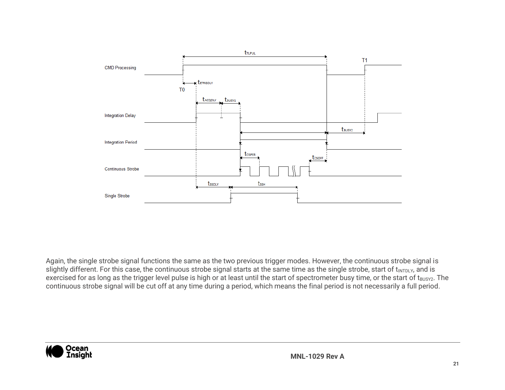

<span id="page-28-0"></span>Again, the single strobe signal functions the same as the two previous trigger modes. However, the continuous strobe signal is slightly different. For this case, the continuous strobe signal starts at the same time as the single strobe, start of t<sub>INTDLY</sub>, and is exercised for as long as the trigger level pulse is high or at least until the start of spectrometer busy time, or the start of  $t_{\text{BUSYZ}}$ . The continuous strobe signal will be cut off at any time during a period, which means the final period is not necessarily a full period.

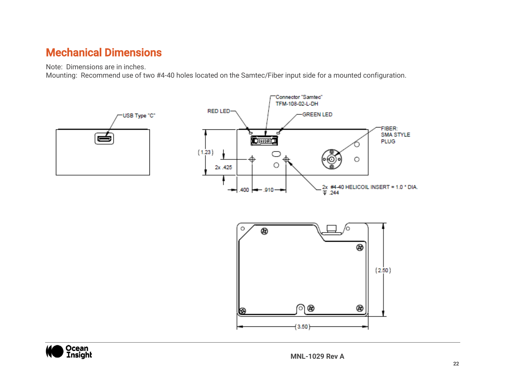### Mechanical Dimensions

Note: Dimensions are in inches.

Mounting: Recommend use of two #4-40 holes located on the Samtec/Fiber input side for a mounted configuration.



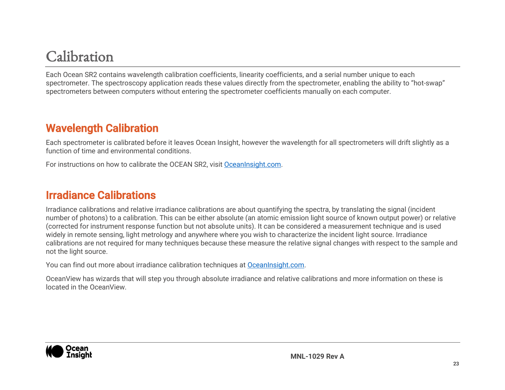# <span id="page-30-0"></span>Calibration

Each Ocean SR2 contains wavelength calibration coefficients, linearity coefficients, and a serial number unique to each spectrometer. The spectroscopy application reads these values directly from the spectrometer, enabling the ability to "hot-swap" spectrometers between computers without entering the spectrometer coefficients manually on each computer.

### <span id="page-30-1"></span>Wavelength Calibration

Each spectrometer is calibrated before it leaves Ocean Insight, however the wavelength for all spectrometers will drift slightly as a function of time and environmental conditions.

For instructions on how to calibrate the OCEAN SR2, visit [OceanInsight.com.](https://ooicorp-my.sharepoint.com/personal/heather_lovelady_oceanoptics_com/Documents/Branding/User%20Manuals/Flame/www.OceanInsight.com)

### <span id="page-30-2"></span>Irradiance Calibrations

Irradiance calibrations and relative irradiance calibrations are about quantifying the spectra, by translating the signal (incident number of photons) to a calibration. This can be either absolute (an atomic emission light source of known output power) or relative (corrected for instrument response function but not absolute units). It can be considered a measurement technique and is used widely in remote sensing, light metrology and anywhere where you wish to characterize the incident light source. Irradiance calibrations are not required for many techniques because these measure the relative signal changes with respect to the sample and not the light source.

You can find out more about irradiance calibration techniques at [OceanInsight.com.](file:///C:/Data/Junonia%20Tech/c_Ocean%20Insight/Marketing%20doc%20updates/Flame/www.OceanInsight.com)

OceanView has wizards that will step you through absolute irradiance and relative calibrations and more information on these is located in the OceanView.